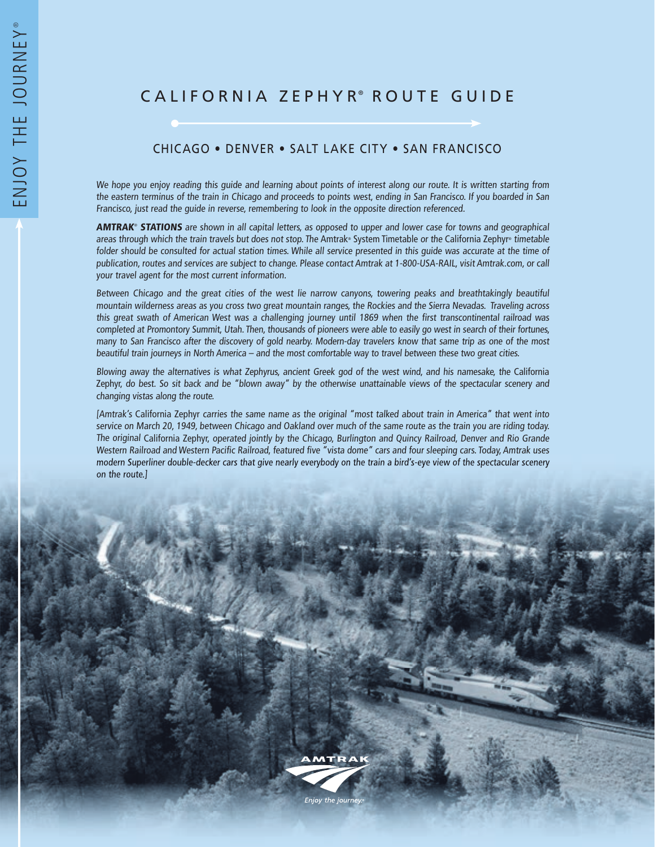# CALIFORNIA ZEPHYR® ROUTE GUIDE

## CHICAGO • DENVER • SALT LAKE CITY • SAN FRANCISCO

We hope you enjoy reading this guide and learning about points of interest along our route. It is written starting from the eastern terminus of the train in Chicago and proceeds to points west, ending in San Francisco. If you boarded in San Francisco, just read the guide in reverse, remembering to look in the opposite direction referenced.

AMTRAK® STATIONS are shown in all capital letters, as opposed to upper and lower case for towns and geographical areas through which the train travels but does not stop. The Amtrak® System Timetable or the California Zephyr® timetable folder should be consulted for actual station times. While all service presented in this guide was accurate at the time of publication, routes and services are subject to change. Please contact Amtrak at 1-800-USA-RAIL, visit Amtrak.com, or call your travel agent for the most current information.

Between Chicago and the great cities of the west lie narrow canyons, towering peaks and breathtakingly beautiful mountain wilderness areas as you cross two great mountain ranges, the Rockies and the Sierra Nevadas. Traveling across this great swath of American West was a challenging journey until 1869 when the first transcontinental railroad was completed at Promontory Summit, Utah. Then, thousands of pioneers were able to easily go west in search of their fortunes, many to San Francisco after the discovery of gold nearby. Modern-day travelers know that same trip as one of the most beautiful train journeys in North America – and the most comfortable way to travel between these two great cities.

Blowing away the alternatives is what Zephyrus, ancient Greek god of the west wind, and his namesake, the California Zephyr, do best. So sit back and be "blown away" by the otherwise unattainable views of the spectacular scenery and changing vistas along the route.

[Amtrak's California Zephyr carries the same name as the original "most talked about train in America" that went into service on March 20, 1949, between Chicago and Oakland over much of the same route as the train you are riding today. The original California Zephyr, operated jointly by the Chicago, Burlington and Quincy Railroad, Denver and Rio Grande Western Railroad and Western Pacific Railroad, featured five "vista dome" cars and four sleeping cars. Today, Amtrak uses modern Superliner double-decker cars that give nearly everybody on the train a bird's-eye view of the spectacular scenery on the route.]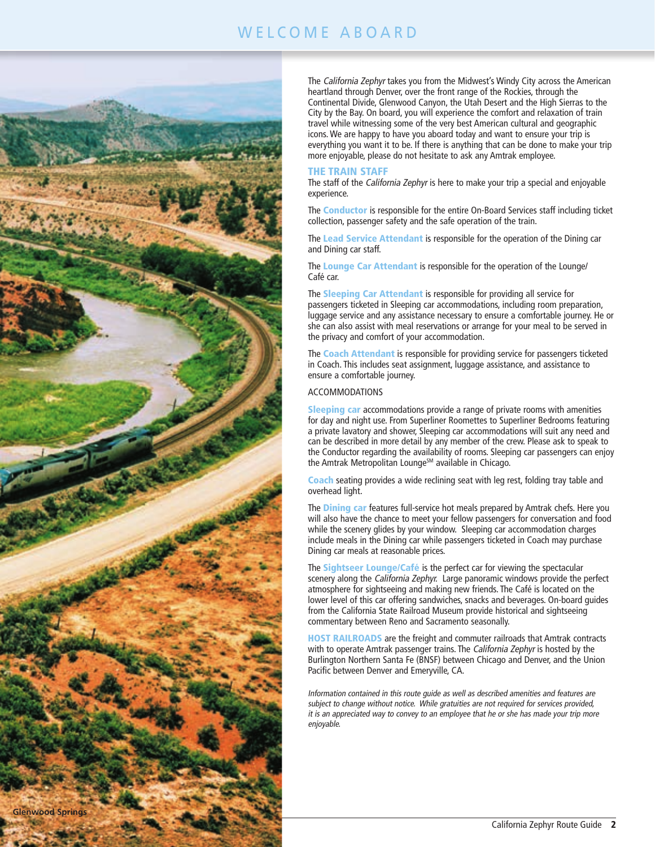## WELCOME ABOARD



The California Zephyr takes you from the Midwest's Windy City across the American heartland through Denver, over the front range of the Rockies, through the Continental Divide, Glenwood Canyon, the Utah Desert and the High Sierras to the City by the Bay. On board, you will experience the comfort and relaxation of train travel while witnessing some of the very best American cultural and geographic icons. We are happy to have you aboard today and want to ensure your trip is everything you want it to be. If there is anything that can be done to make your trip more enjoyable, please do not hesitate to ask any Amtrak employee.

### THE TRAIN STAFF

The staff of the California Zephyr is here to make your trip a special and enjoyable experience.

The **Conductor** is responsible for the entire On-Board Services staff including ticket collection, passenger safety and the safe operation of the train.

The Lead Service Attendant is responsible for the operation of the Dining car and Dining car staff.

The Lounge Car Attendant is responsible for the operation of the Lounge/ Café car.

The **Sleeping Car Attendant** is responsible for providing all service for passengers ticketed in Sleeping car accommodations, including room preparation, luggage service and any assistance necessary to ensure a comfortable journey. He or she can also assist with meal reservations or arrange for your meal to be served in the privacy and comfort of your accommodation.

The Coach Attendant is responsible for providing service for passengers ticketed in Coach. This includes seat assignment, luggage assistance, and assistance to ensure a comfortable journey.

#### ACCOMMODATIONS

Sleeping car accommodations provide a range of private rooms with amenities for day and night use. From Superliner Roomettes to Superliner Bedrooms featuring a private lavatory and shower, Sleeping car accommodations will suit any need and can be described in more detail by any member of the crew. Please ask to speak to the Conductor regarding the availability of rooms. Sleeping car passengers can enjoy the Amtrak Metropolitan Lounge<sup>SM</sup> available in Chicago.

**Coach** seating provides a wide reclining seat with leg rest, folding tray table and overhead light.

The **Dining car** features full-service hot meals prepared by Amtrak chefs. Here you will also have the chance to meet your fellow passengers for conversation and food while the scenery glides by your window. Sleeping car accommodation charges include meals in the Dining car while passengers ticketed in Coach may purchase Dining car meals at reasonable prices.

The **Sightseer Lounge/Café** is the perfect car for viewing the spectacular scenery along the California Zephyr. Large panoramic windows provide the perfect atmosphere for sightseeing and making new friends. The Café is located on the lower level of this car offering sandwiches, snacks and beverages. On-board guides from the California State Railroad Museum provide historical and sightseeing commentary between Reno and Sacramento seasonally.

HOST RAILROADS are the freight and commuter railroads that Amtrak contracts with to operate Amtrak passenger trains. The California Zephyr is hosted by the Burlington Northern Santa Fe (BNSF) between Chicago and Denver, and the Union Pacific between Denver and Emeryville, CA.

Information contained in this route guide as well as described amenities and features are subject to change without notice. While gratuities are not required for services provided, it is an appreciated way to convey to an employee that he or she has made your trip more enjoyable.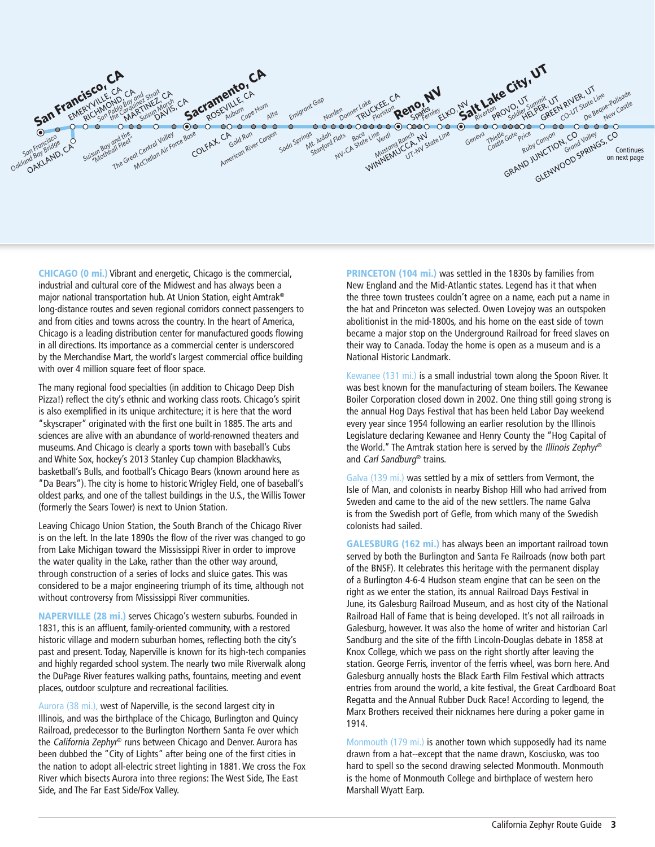

CHICAGO (0 mi.) Vibrant and energetic, Chicago is the commercial, industrial and cultural core of the Midwest and has always been a major national transportation hub. At Union Station, eight Amtrak® long-distance routes and seven regional corridors connect passengers to and from cities and towns across the country. In the heart of America, Chicago is a leading distribution center for manufactured goods flowing in all directions. Its importance as a commercial center is underscored by the Merchandise Mart, the world's largest commercial office building with over 4 million square feet of floor space.

The many regional food specialties (in addition to Chicago Deep Dish Pizza!) reflect the city's ethnic and working class roots. Chicago's spirit is also exemplified in its unique architecture; it is here that the word "skyscraper" originated with the first one built in 1885. The arts and sciences are alive with an abundance of world-renowned theaters and museums. And Chicago is clearly a sports town with baseball's Cubs and White Sox, hockey's 2013 Stanley Cup champion Blackhawks, basketball's Bulls, and football's Chicago Bears (known around here as "Da Bears"). The city is home to historic Wrigley Field, one of baseball's oldest parks, and one of the tallest buildings in the U.S., the Willis Tower (formerly the Sears Tower) is next to Union Station.

Leaving Chicago Union Station, the South Branch of the Chicago River is on the left. In the late 1890s the flow of the river was changed to go from Lake Michigan toward the Mississippi River in order to improve the water quality in the Lake, rather than the other way around, through construction of a series of locks and sluice gates. This was considered to be a major engineering triumph of its time, although not without controversy from Mississippi River communities.

NAPERVILLE (28 mi.) serves Chicago's western suburbs. Founded in 1831, this is an affluent, family-oriented community, with a restored historic village and modern suburban homes, reflecting both the city's past and present. Today, Naperville is known for its high-tech companies and highly regarded school system. The nearly two mile Riverwalk along the DuPage River features walking paths, fountains, meeting and event places, outdoor sculpture and recreational facilities.

Aurora (38 mi.), west of Naperville, is the second largest city in Illinois, and was the birthplace of the Chicago, Burlington and Quincy Railroad, predecessor to the Burlington Northern Santa Fe over which the California Zephyr® runs between Chicago and Denver. Aurora has been dubbed the "City of Lights" after being one of the first cities in the nation to adopt all-electric street lighting in 1881. We cross the Fox River which bisects Aurora into three regions: The West Side, The East Side, and The Far East Side/Fox Valley.

PRINCETON (104 mi.) was settled in the 1830s by families from New England and the Mid-Atlantic states. Legend has it that when the three town trustees couldn't agree on a name, each put a name in the hat and Princeton was selected. Owen Lovejoy was an outspoken abolitionist in the mid-1800s, and his home on the east side of town became a major stop on the Underground Railroad for freed slaves on their way to Canada. Today the home is open as a museum and is a National Historic Landmark.

Kewanee (131 mi.) is a small industrial town along the Spoon River. It was best known for the manufacturing of steam boilers. The Kewanee Boiler Corporation closed down in 2002. One thing still going strong is the annual Hog Days Festival that has been held Labor Day weekend every year since 1954 following an earlier resolution by the Illinois Legislature declaring Kewanee and Henry County the "Hog Capital of the World." The Amtrak station here is served by the Illinois Zephyr® and Carl Sandburg® trains.

Galva (139 mi.) was settled by a mix of settlers from Vermont, the Isle of Man, and colonists in nearby Bishop Hill who had arrived from Sweden and came to the aid of the new settlers. The name Galva is from the Swedish port of Gefle, from which many of the Swedish colonists had sailed.

GALESBURG (162 mi.) has always been an important railroad town served by both the Burlington and Santa Fe Railroads (now both part of the BNSF). It celebrates this heritage with the permanent display of a Burlington 4-6-4 Hudson steam engine that can be seen on the right as we enter the station, its annual Railroad Days Festival in June, its Galesburg Railroad Museum, and as host city of the National Railroad Hall of Fame that is being developed. It's not all railroads in Galesburg, however. It was also the home of writer and historian Carl Sandburg and the site of the fifth Lincoln-Douglas debate in 1858 at Knox College, which we pass on the right shortly after leaving the station. George Ferris, inventor of the ferris wheel, was born here. And Galesburg annually hosts the Black Earth Film Festival which attracts entries from around the world, a kite festival, the Great Cardboard Boat Regatta and the Annual Rubber Duck Race! According to legend, the Marx Brothers received their nicknames here during a poker game in 1914.

Monmouth (179 mi.) is another town which supposedly had its name drawn from a hat--except that the name drawn, Kosciusko, was too hard to spell so the second drawing selected Monmouth. Monmouth is the home of Monmouth College and birthplace of western hero Marshall Wyatt Earp.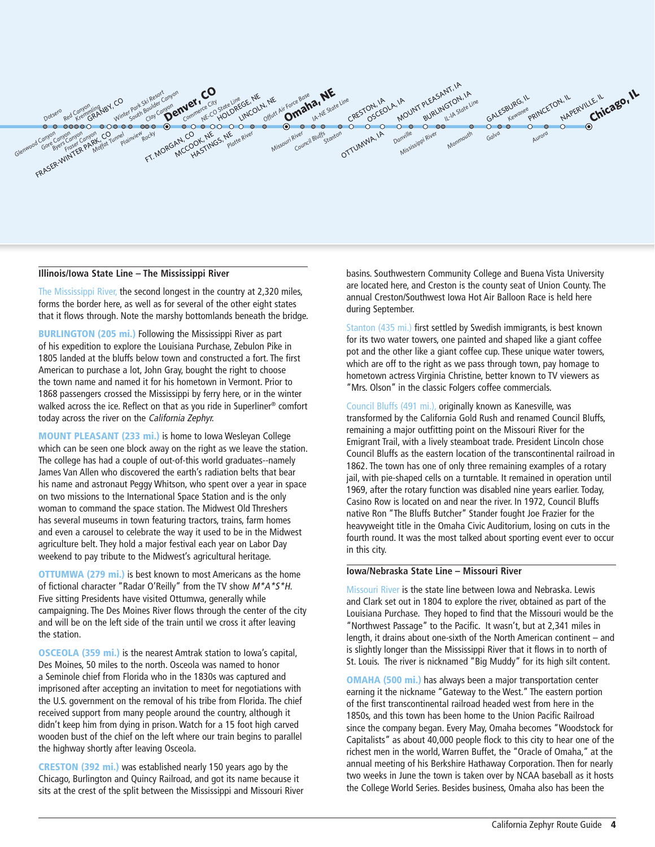

## **Illinois/Iowa State Line – The Mississippi River**

The Mississippi River, the second longest in the country at 2,320 miles, forms the border here, as well as for several of the other eight states that it flows through. Note the marshy bottomlands beneath the bridge.

BURLINGTON (205 mi.) Following the Mississippi River as part of his expedition to explore the Louisiana Purchase, Zebulon Pike in 1805 landed at the bluffs below town and constructed a fort. The first American to purchase a lot, John Gray, bought the right to choose the town name and named it for his hometown in Vermont. Prior to 1868 passengers crossed the Mississippi by ferry here, or in the winter walked across the ice. Reflect on that as you ride in Superliner® comfort today across the river on the California Zephyr.

MOUNT PLEASANT (233 mi.) is home to Iowa Wesleyan College which can be seen one block away on the right as we leave the station. The college has had a couple of out-of-this world graduates--namely James Van Allen who discovered the earth's radiation belts that bear his name and astronaut Peggy Whitson, who spent over a year in space on two missions to the International Space Station and is the only woman to command the space station. The Midwest Old Threshers has several museums in town featuring tractors, trains, farm homes and even a carousel to celebrate the way it used to be in the Midwest agriculture belt. They hold a major festival each year on Labor Day weekend to pay tribute to the Midwest's agricultural heritage.

**OTTUMWA (279 mi.)** is best known to most Americans as the home of fictional character "Radar O'Reilly" from the TV show M\*A\*S\*H. Five sitting Presidents have visited Ottumwa, generally while campaigning. The Des Moines River flows through the center of the city and will be on the left side of the train until we cross it after leaving the station.

OSCEOLA (359 mi.) is the nearest Amtrak station to Iowa's capital, Des Moines, 50 miles to the north. Osceola was named to honor a Seminole chief from Florida who in the 1830s was captured and imprisoned after accepting an invitation to meet for negotiations with the U.S. government on the removal of his tribe from Florida. The chief received support from many people around the country, although it didn't keep him from dying in prison. Watch for a 15 foot high carved wooden bust of the chief on the left where our train begins to parallel the highway shortly after leaving Osceola.

CRESTON (392 mi.) was established nearly 150 years ago by the Chicago, Burlington and Quincy Railroad, and got its name because it sits at the crest of the split between the Mississippi and Missouri River basins. Southwestern Community College and Buena Vista University are located here, and Creston is the county seat of Union County. The annual Creston/Southwest Iowa Hot Air Balloon Race is held here during September.

Stanton (435 mi.) first settled by Swedish immigrants, is best known for its two water towers, one painted and shaped like a giant coffee pot and the other like a giant coffee cup. These unique water towers, which are off to the right as we pass through town, pay homage to hometown actress Virginia Christine, better known to TV viewers as "Mrs. Olson" in the classic Folgers coffee commercials.

Council Bluffs (491 mi.), originally known as Kanesville, was transformed by the California Gold Rush and renamed Council Bluffs, remaining a major outfitting point on the Missouri River for the Emigrant Trail, with a lively steamboat trade. President Lincoln chose Council Bluffs as the eastern location of the transcontinental railroad in 1862. The town has one of only three remaining examples of a rotary jail, with pie-shaped cells on a turntable. It remained in operation until 1969, after the rotary function was disabled nine years earlier. Today, Casino Row is located on and near the river. In 1972, Council Bluffs native Ron "The Bluffs Butcher" Stander fought Joe Frazier for the heavyweight title in the Omaha Civic Auditorium, losing on cuts in the fourth round. It was the most talked about sporting event ever to occur in this city.

### **Iowa/Nebraska State Line – Missouri River**

Missouri River is the state line between Iowa and Nebraska. Lewis and Clark set out in 1804 to explore the river, obtained as part of the Louisiana Purchase. They hoped to find that the Missouri would be the "Northwest Passage" to the Pacific. It wasn't, but at 2,341 miles in length, it drains about one-sixth of the North American continent – and is slightly longer than the Mississippi River that it flows in to north of St. Louis. The river is nicknamed "Big Muddy" for its high silt content.

OMAHA (500 mi.) has always been a major transportation center earning it the nickname "Gateway to the West." The eastern portion of the first transcontinental railroad headed west from here in the 1850s, and this town has been home to the Union Pacific Railroad since the company began. Every May, Omaha becomes "Woodstock for Capitalists" as about 40,000 people flock to this city to hear one of the richest men in the world, Warren Buffet, the "Oracle of Omaha," at the annual meeting of his Berkshire Hathaway Corporation. Then for nearly two weeks in June the town is taken over by NCAA baseball as it hosts the College World Series. Besides business, Omaha also has been the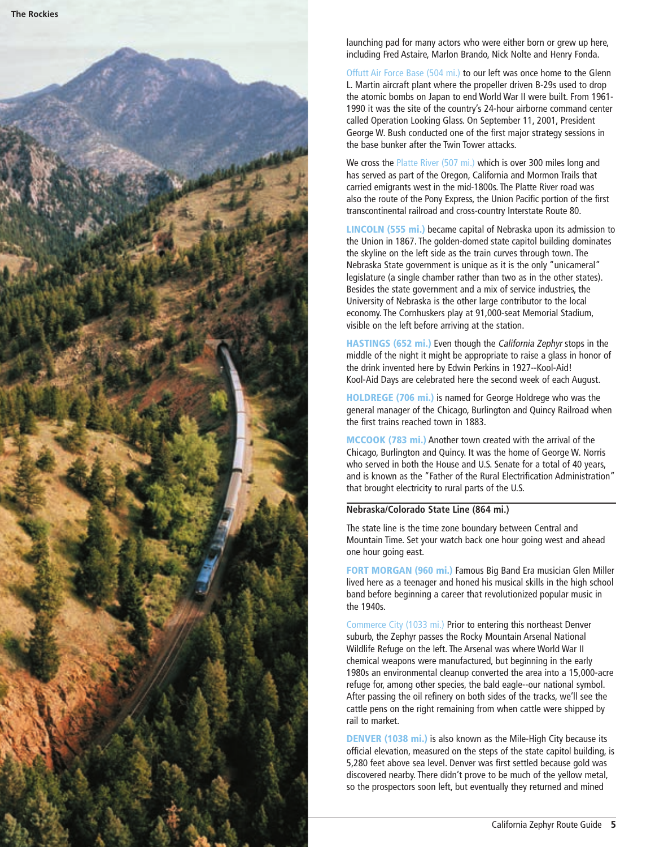

launching pad for many actors who were either born or grew up here, including Fred Astaire, Marlon Brando, Nick Nolte and Henry Fonda.

Offutt Air Force Base (504 mi.) to our left was once home to the Glenn L. Martin aircraft plant where the propeller driven B-29s used to drop the atomic bombs on Japan to end World War II were built. From 1961- 1990 it was the site of the country's 24-hour airborne command center called Operation Looking Glass. On September 11, 2001, President George W. Bush conducted one of the first major strategy sessions in the base bunker after the Twin Tower attacks.

We cross the Platte River (507 mi.) which is over 300 miles long and has served as part of the Oregon, California and Mormon Trails that carried emigrants west in the mid-1800s. The Platte River road was also the route of the Pony Express, the Union Pacific portion of the first transcontinental railroad and cross-country Interstate Route 80.

LINCOLN (555 mi.) became capital of Nebraska upon its admission to the Union in 1867. The golden-domed state capitol building dominates the skyline on the left side as the train curves through town. The Nebraska State government is unique as it is the only "unicameral" legislature (a single chamber rather than two as in the other states). Besides the state government and a mix of service industries, the University of Nebraska is the other large contributor to the local economy. The Cornhuskers play at 91,000-seat Memorial Stadium, visible on the left before arriving at the station.

HASTINGS (652 mi.) Even though the California Zephyr stops in the middle of the night it might be appropriate to raise a glass in honor of the drink invented here by Edwin Perkins in 1927--Kool-Aid! Kool-Aid Days are celebrated here the second week of each August.

HOLDREGE (706 mi.) is named for George Holdrege who was the general manager of the Chicago, Burlington and Quincy Railroad when the first trains reached town in 1883.

MCCOOK (783 mi.) Another town created with the arrival of the Chicago, Burlington and Quincy. It was the home of George W. Norris who served in both the House and U.S. Senate for a total of 40 years, and is known as the "Father of the Rural Electrification Administration" that brought electricity to rural parts of the U.S.

## **Nebraska/Colorado State Line (864 mi.)**

The state line is the time zone boundary between Central and Mountain Time. Set your watch back one hour going west and ahead one hour going east.

FORT MORGAN (960 mi.) Famous Big Band Era musician Glen Miller lived here as a teenager and honed his musical skills in the high school band before beginning a career that revolutionized popular music in the 1940s.

Commerce City (1033 mi.) Prior to entering this northeast Denver suburb, the Zephyr passes the Rocky Mountain Arsenal National Wildlife Refuge on the left. The Arsenal was where World War II chemical weapons were manufactured, but beginning in the early 1980s an environmental cleanup converted the area into a 15,000-acre refuge for, among other species, the bald eagle--our national symbol. After passing the oil refinery on both sides of the tracks, we'll see the cattle pens on the right remaining from when cattle were shipped by rail to market.

**DENVER (1038 mi.)** is also known as the Mile-High City because its official elevation, measured on the steps of the state capitol building, is 5,280 feet above sea level. Denver was first settled because gold was discovered nearby. There didn't prove to be much of the yellow metal, so the prospectors soon left, but eventually they returned and mined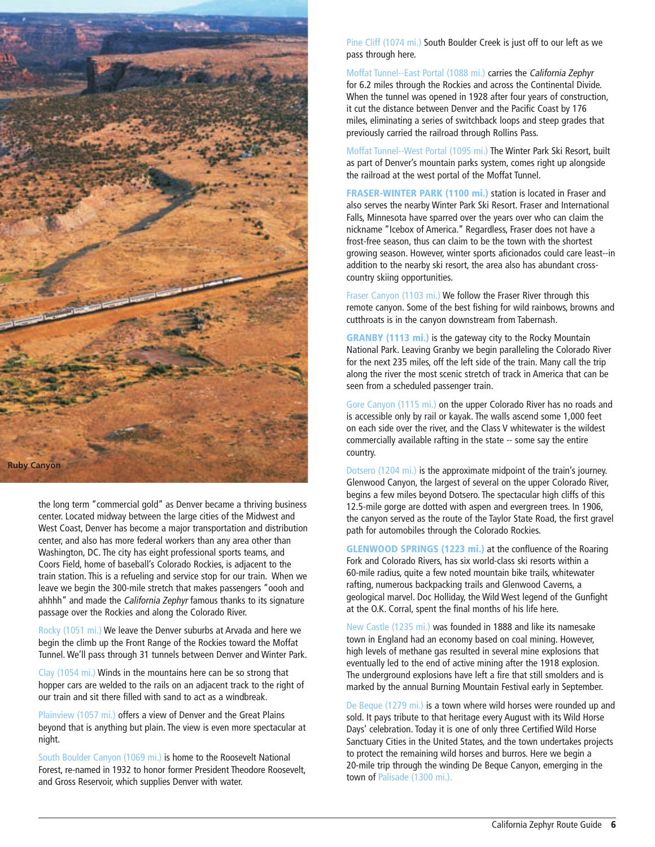

the long term "commercial gold" as Denver became a thriving business center. Located midway between the large cities of the Midwest and West Coast, Denver has become a major transportation and distribution center, and also has more federal workers than any area other than Washington, DC. The city has eight professional sports teams, and Coors Field, home of baseball's Colorado Rockies, is adjacent to the train station. This is a refueling and service stop for our train. When we leave we begin the 300-mile stretch that makes passengers "oooh and ahhhh" and made the California Zephyr famous thanks to its signature passage over the Rockies and along the Colorado River.

Rocky (1051 mi.) We leave the Denver suburbs at Arvada and here we begin the climb up the Front Range of the Rockies toward the Moffat Tunnel. We'll pass through 31 tunnels between Denver and Winter Park.

Clay (1054 mi.) Winds in the mountains here can be so strong that hopper cars are welded to the rails on an adjacent track to the right of our train and sit there filled with sand to act as a windbreak.

Plainview (1057 mi.) offers a view of Denver and the Great Plains beyond that is anything but plain. The view is even more spectacular at night.

South Boulder Canyon (1069 mi.) is home to the Roosevelt National Forest, re-named in 1932 to honor former President Theodore Roosevelt, and Gross Reservoir, which supplies Denver with water.

Pine Cliff (1074 mi.) South Boulder Creek is just off to our left as we pass through here.

Moffat Tunnel--East Portal (1088 mi.) carries the California Zephyr for 6.2 miles through the Rockies and across the Continental Divide. When the tunnel was opened in 1928 after four years of construction, it cut the distance between Denver and the Pacific Coast by 176 miles, eliminating a series of switchback loops and steep grades that previously carried the railroad through Rollins Pass.

Moffat Tunnel--West Portal (1095 mi.) The Winter Park Ski Resort, built as part of Denver's mountain parks system, comes right up alongside the railroad at the west portal of the Moffat Tunnel.

FRASER-WINTER PARK (1100 mi.) station is located in Fraser and also serves the nearby Winter Park Ski Resort. Fraser and International Falls, Minnesota have sparred over the years over who can claim the nickname "Icebox of America." Regardless, Fraser does not have a frost-free season, thus can claim to be the town with the shortest growing season. However, winter sports aficionados could care least--in addition to the nearby ski resort, the area also has abundant crosscountry skiing opportunities.

Fraser Canyon (1103 mi.) We follow the Fraser River through this remote canyon. Some of the best fishing for wild rainbows, browns and cutthroats is in the canyon downstream from Tabernash.

**GRANBY (1113 mi.)** is the gateway city to the Rocky Mountain National Park. Leaving Granby we begin paralleling the Colorado River for the next 235 miles, off the left side of the train. Many call the trip along the river the most scenic stretch of track in America that can be seen from a scheduled passenger train.

Gore Canyon (1115 mi.) on the upper Colorado River has no roads and is accessible only by rail or kayak. The walls ascend some 1,000 feet on each side over the river, and the Class V whitewater is the wildest commercially available rafting in the state -- some say the entire country.

Dotsero (1204 mi.) is the approximate midpoint of the train's journey. Glenwood Canyon, the largest of several on the upper Colorado River, begins a few miles beyond Dotsero. The spectacular high cliffs of this 12.5-mile gorge are dotted with aspen and evergreen trees. In 1906, the canyon served as the route of the Taylor State Road, the first gravel path for automobiles through the Colorado Rockies.

GLENWOOD SPRINGS (1223 mi.) at the confluence of the Roaring Fork and Colorado Rivers, has six world-class ski resorts within a 60-mile radius, quite a few noted mountain bike trails, whitewater rafting, numerous backpacking trails and Glenwood Caverns, a geological marvel. Doc Holliday, the Wild West legend of the Gunfight at the O.K. Corral, spent the final months of his life here.

New Castle (1235 mi.) was founded in 1888 and like its namesake town in England had an economy based on coal mining. However, high levels of methane gas resulted in several mine explosions that eventually led to the end of active mining after the 1918 explosion. The underground explosions have left a fire that still smolders and is marked by the annual Burning Mountain Festival early in September.

De Beque (1279 mi.) is a town where wild horses were rounded up and sold. It pays tribute to that heritage every August with its Wild Horse Days' celebration. Today it is one of only three Certified Wild Horse Sanctuary Cities in the United States, and the town undertakes projects to protect the remaining wild horses and burros. Here we begin a 20-mile trip through the winding De Beque Canyon, emerging in the town of Palisade (1300 mi.).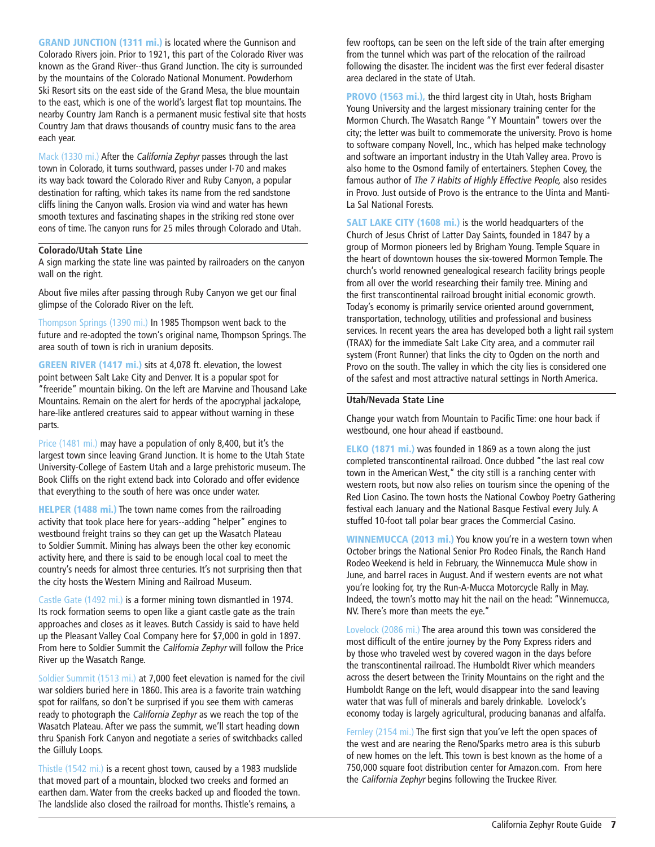GRAND JUNCTION (1311 mi.) is located where the Gunnison and Colorado Rivers join. Prior to 1921, this part of the Colorado River was known as the Grand River--thus Grand Junction. The city is surrounded by the mountains of the Colorado National Monument. Powderhorn Ski Resort sits on the east side of the Grand Mesa, the blue mountain to the east, which is one of the world's largest flat top mountains. The nearby Country Jam Ranch is a permanent music festival site that hosts Country Jam that draws thousands of country music fans to the area each year.

Mack (1330 mi.) After the California Zephyr passes through the last town in Colorado, it turns southward, passes under I-70 and makes its way back toward the Colorado River and Ruby Canyon, a popular destination for rafting, which takes its name from the red sandstone cliffs lining the Canyon walls. Erosion via wind and water has hewn smooth textures and fascinating shapes in the striking red stone over eons of time. The canyon runs for 25 miles through Colorado and Utah.

## **Colorado/Utah State Line**

A sign marking the state line was painted by railroaders on the canyon wall on the right.

About five miles after passing through Ruby Canyon we get our final glimpse of the Colorado River on the left.

Thompson Springs (1390 mi.) In 1985 Thompson went back to the future and re-adopted the town's original name, Thompson Springs. The area south of town is rich in uranium deposits.

GREEN RIVER (1417 mi.) sits at 4,078 ft. elevation, the lowest point between Salt Lake City and Denver. It is a popular spot for "freeride" mountain biking. On the left are Marvine and Thousand Lake Mountains. Remain on the alert for herds of the apocryphal jackalope, hare-like antlered creatures said to appear without warning in these parts.

Price (1481 mi.) may have a population of only 8,400, but it's the largest town since leaving Grand Junction. It is home to the Utah State University-College of Eastern Utah and a large prehistoric museum. The Book Cliffs on the right extend back into Colorado and offer evidence that everything to the south of here was once under water.

HELPER (1488 mi.) The town name comes from the railroading activity that took place here for years--adding "helper" engines to westbound freight trains so they can get up the Wasatch Plateau to Soldier Summit. Mining has always been the other key economic activity here, and there is said to be enough local coal to meet the country's needs for almost three centuries. It's not surprising then that the city hosts the Western Mining and Railroad Museum.

Castle Gate (1492 mi.) is a former mining town dismantled in 1974. Its rock formation seems to open like a giant castle gate as the train approaches and closes as it leaves. Butch Cassidy is said to have held up the Pleasant Valley Coal Company here for \$7,000 in gold in 1897. From here to Soldier Summit the California Zephyr will follow the Price River up the Wasatch Range.

Soldier Summit (1513 mi.) at 7,000 feet elevation is named for the civil war soldiers buried here in 1860. This area is a favorite train watching spot for railfans, so don't be surprised if you see them with cameras ready to photograph the California Zephyr as we reach the top of the Wasatch Plateau. After we pass the summit, we'll start heading down thru Spanish Fork Canyon and negotiate a series of switchbacks called the Gilluly Loops.

Thistle (1542 mi.) is a recent ghost town, caused by a 1983 mudslide that moved part of a mountain, blocked two creeks and formed an earthen dam. Water from the creeks backed up and flooded the town. The landslide also closed the railroad for months. Thistle's remains, a

few rooftops, can be seen on the left side of the train after emerging from the tunnel which was part of the relocation of the railroad following the disaster. The incident was the first ever federal disaster area declared in the state of Utah.

**PROVO (1563 mi.), the third largest city in Utah, hosts Brigham** Young University and the largest missionary training center for the Mormon Church. The Wasatch Range "Y Mountain" towers over the city; the letter was built to commemorate the university. Provo is home to software company Novell, Inc., which has helped make technology and software an important industry in the Utah Valley area. Provo is also home to the Osmond family of entertainers. Stephen Covey, the famous author of The 7 Habits of Highly Effective People, also resides in Provo. Just outside of Provo is the entrance to the Uinta and Manti-La Sal National Forests.

SALT LAKE CITY (1608 mi.) is the world headquarters of the Church of Jesus Christ of Latter Day Saints, founded in 1847 by a group of Mormon pioneers led by Brigham Young. Temple Square in the heart of downtown houses the six-towered Mormon Temple. The church's world renowned genealogical research facility brings people from all over the world researching their family tree. Mining and the first transcontinental railroad brought initial economic growth. Today's economy is primarily service oriented around government, transportation, technology, utilities and professional and business services. In recent years the area has developed both a light rail system (TRAX) for the immediate Salt Lake City area, and a commuter rail system (Front Runner) that links the city to Ogden on the north and Provo on the south. The valley in which the city lies is considered one of the safest and most attractive natural settings in North America.

## **Utah/Nevada State Line**

Change your watch from Mountain to Pacific Time: one hour back if westbound, one hour ahead if eastbound.

ELKO (1871 mi.) was founded in 1869 as a town along the just completed transcontinental railroad. Once dubbed "the last real cow town in the American West," the city still is a ranching center with western roots, but now also relies on tourism since the opening of the Red Lion Casino. The town hosts the National Cowboy Poetry Gathering festival each January and the National Basque Festival every July. A stuffed 10-foot tall polar bear graces the Commercial Casino.

WINNEMUCCA (2013 mi.) You know you're in a western town when October brings the National Senior Pro Rodeo Finals, the Ranch Hand Rodeo Weekend is held in February, the Winnemucca Mule show in June, and barrel races in August. And if western events are not what you're looking for, try the Run-A-Mucca Motorcycle Rally in May. Indeed, the town's motto may hit the nail on the head: "Winnemucca, NV. There's more than meets the eye."

Lovelock (2086 mi.) The area around this town was considered the most difficult of the entire journey by the Pony Express riders and by those who traveled west by covered wagon in the days before the transcontinental railroad. The Humboldt River which meanders across the desert between the Trinity Mountains on the right and the Humboldt Range on the left, would disappear into the sand leaving water that was full of minerals and barely drinkable. Lovelock's economy today is largely agricultural, producing bananas and alfalfa.

Fernley (2154 mi.) The first sign that you've left the open spaces of the west and are nearing the Reno/Sparks metro area is this suburb of new homes on the left. This town is best known as the home of a 750,000 square foot distribution center for Amazon.com. From here the California Zephyr begins following the Truckee River.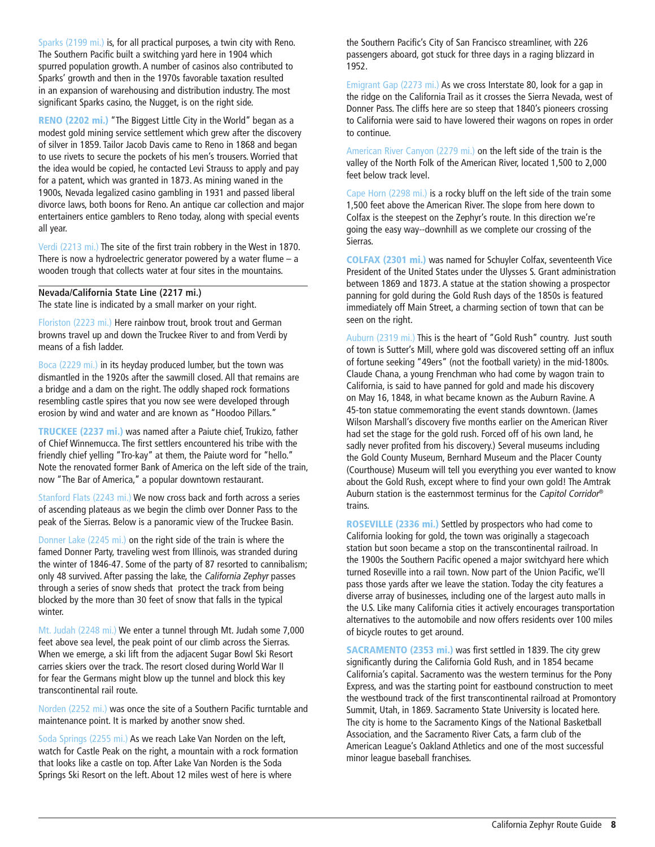Sparks (2199 mi.) is, for all practical purposes, a twin city with Reno. The Southern Pacific built a switching yard here in 1904 which spurred population growth. A number of casinos also contributed to Sparks' growth and then in the 1970s favorable taxation resulted in an expansion of warehousing and distribution industry. The most significant Sparks casino, the Nugget, is on the right side.

RENO (2202 mi.) "The Biggest Little City in the World" began as a modest gold mining service settlement which grew after the discovery of silver in 1859. Tailor Jacob Davis came to Reno in 1868 and began to use rivets to secure the pockets of his men's trousers. Worried that the idea would be copied, he contacted Levi Strauss to apply and pay for a patent, which was granted in 1873. As mining waned in the 1900s, Nevada legalized casino gambling in 1931 and passed liberal divorce laws, both boons for Reno. An antique car collection and major entertainers entice gamblers to Reno today, along with special events all year.

Verdi (2213 mi.) The site of the first train robbery in the West in 1870. There is now a hydroelectric generator powered by a water flume  $-$  a wooden trough that collects water at four sites in the mountains.

### **Nevada/California State Line (2217 mi.)**

The state line is indicated by a small marker on your right.

Floriston (2223 mi.) Here rainbow trout, brook trout and German browns travel up and down the Truckee River to and from Verdi by means of a fish ladder.

Boca (2229 mi.) in its heyday produced lumber, but the town was dismantled in the 1920s after the sawmill closed. All that remains are a bridge and a dam on the right. The oddly shaped rock formations resembling castle spires that you now see were developed through erosion by wind and water and are known as "Hoodoo Pillars."

TRUCKEE (2237 mi.) was named after a Paiute chief, Trukizo, father of Chief Winnemucca. The first settlers encountered his tribe with the friendly chief yelling "Tro-kay" at them, the Paiute word for "hello." Note the renovated former Bank of America on the left side of the train, now "The Bar of America," a popular downtown restaurant.

Stanford Flats (2243 mi.) We now cross back and forth across a series of ascending plateaus as we begin the climb over Donner Pass to the peak of the Sierras. Below is a panoramic view of the Truckee Basin.

Donner Lake (2245 mi.) on the right side of the train is where the famed Donner Party, traveling west from Illinois, was stranded during the winter of 1846-47. Some of the party of 87 resorted to cannibalism; only 48 survived. After passing the lake, the California Zephyr passes through a series of snow sheds that protect the track from being blocked by the more than 30 feet of snow that falls in the typical winter.

Mt. Judah (2248 mi.) We enter a tunnel through Mt. Judah some 7,000 feet above sea level, the peak point of our climb across the Sierras. When we emerge, a ski lift from the adjacent Sugar Bowl Ski Resort carries skiers over the track. The resort closed during World War II for fear the Germans might blow up the tunnel and block this key transcontinental rail route.

Norden (2252 mi.) was once the site of a Southern Pacific turntable and maintenance point. It is marked by another snow shed.

Soda Springs (2255 mi.) As we reach Lake Van Norden on the left, watch for Castle Peak on the right, a mountain with a rock formation that looks like a castle on top. After Lake Van Norden is the Soda Springs Ski Resort on the left. About 12 miles west of here is where

the Southern Pacific's City of San Francisco streamliner, with 226 passengers aboard, got stuck for three days in a raging blizzard in 1952.

Emigrant Gap (2273 mi.) As we cross Interstate 80, look for a gap in the ridge on the California Trail as it crosses the Sierra Nevada, west of Donner Pass. The cliffs here are so steep that 1840's pioneers crossing to California were said to have lowered their wagons on ropes in order to continue.

American River Canyon (2279 mi.) on the left side of the train is the valley of the North Folk of the American River, located 1,500 to 2,000 feet below track level.

Cape Horn (2298 mi.) is a rocky bluff on the left side of the train some 1,500 feet above the American River. The slope from here down to Colfax is the steepest on the Zephyr's route. In this direction we're going the easy way--downhill as we complete our crossing of the Sierras.

COLFAX (2301 mi.) was named for Schuyler Colfax, seventeenth Vice President of the United States under the Ulysses S. Grant administration between 1869 and 1873. A statue at the station showing a prospector panning for gold during the Gold Rush days of the 1850s is featured immediately off Main Street, a charming section of town that can be seen on the right.

Auburn (2319 mi.) This is the heart of "Gold Rush" country. Just south of town is Sutter's Mill, where gold was discovered setting off an influx of fortune seeking "49ers" (not the football variety) in the mid-1800s. Claude Chana, a young Frenchman who had come by wagon train to California, is said to have panned for gold and made his discovery on May 16, 1848, in what became known as the Auburn Ravine. A 45-ton statue commemorating the event stands downtown. (James Wilson Marshall's discovery five months earlier on the American River had set the stage for the gold rush. Forced off of his own land, he sadly never profited from his discovery.) Several museums including the Gold County Museum, Bernhard Museum and the Placer County (Courthouse) Museum will tell you everything you ever wanted to know about the Gold Rush, except where to find your own gold! The Amtrak Auburn station is the easternmost terminus for the Capitol Corridor® trains.

ROSEVILLE (2336 mi.) Settled by prospectors who had come to California looking for gold, the town was originally a stagecoach station but soon became a stop on the transcontinental railroad. In the 1900s the Southern Pacific opened a major switchyard here which turned Roseville into a rail town. Now part of the Union Pacific, we'll pass those yards after we leave the station. Today the city features a diverse array of businesses, including one of the largest auto malls in the U.S. Like many California cities it actively encourages transportation alternatives to the automobile and now offers residents over 100 miles of bicycle routes to get around.

SACRAMENTO (2353 mi.) was first settled in 1839. The city grew significantly during the California Gold Rush, and in 1854 became California's capital. Sacramento was the western terminus for the Pony Express, and was the starting point for eastbound construction to meet the westbound track of the first transcontinental railroad at Promontory Summit, Utah, in 1869. Sacramento State University is located here. The city is home to the Sacramento Kings of the National Basketball Association, and the Sacramento River Cats, a farm club of the American League's Oakland Athletics and one of the most successful minor league baseball franchises.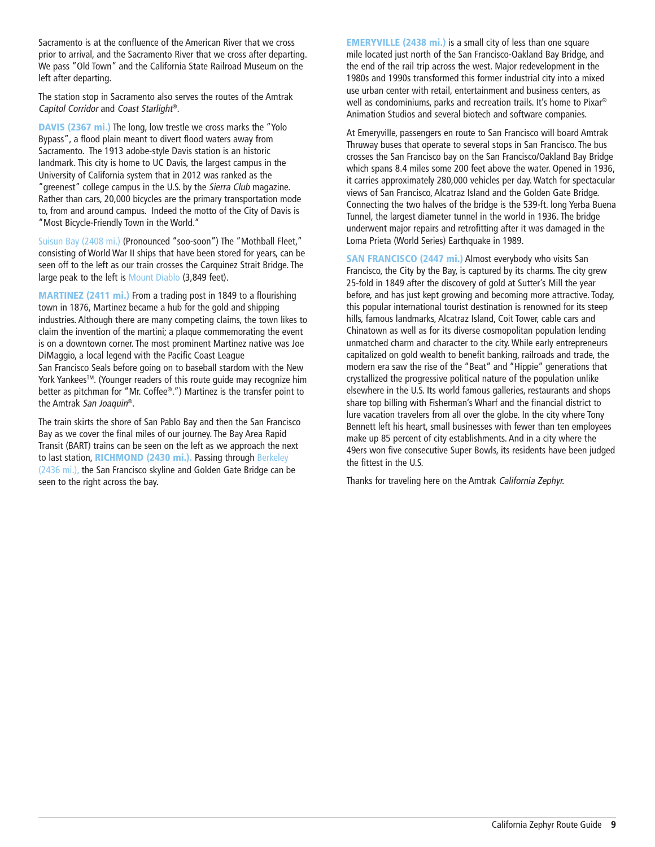Sacramento is at the confluence of the American River that we cross prior to arrival, and the Sacramento River that we cross after departing. We pass "Old Town" and the California State Railroad Museum on the left after departing.

The station stop in Sacramento also serves the routes of the Amtrak Capitol Corridor and Coast Starlight®.

DAVIS (2367 mi.) The long, low trestle we cross marks the "Yolo Bypass", a flood plain meant to divert flood waters away from Sacramento. The 1913 adobe-style Davis station is an historic landmark. This city is home to UC Davis, the largest campus in the University of California system that in 2012 was ranked as the "greenest" college campus in the U.S. by the Sierra Club magazine. Rather than cars, 20,000 bicycles are the primary transportation mode to, from and around campus. Indeed the motto of the City of Davis is "Most Bicycle-Friendly Town in the World."

Suisun Bay (2408 mi.) (Pronounced "soo-soon") The "Mothball Fleet," consisting of World War II ships that have been stored for years, can be seen off to the left as our train crosses the Carquinez Strait Bridge. The large peak to the left is Mount Diablo (3,849 feet).

MARTINEZ (2411 mi.) From a trading post in 1849 to a flourishing town in 1876, Martinez became a hub for the gold and shipping industries. Although there are many competing claims, the town likes to claim the invention of the martini; a plaque commemorating the event is on a downtown corner. The most prominent Martinez native was Joe DiMaggio, a local legend with the Pacific Coast League San Francisco Seals before going on to baseball stardom with the New York Yankees™. (Younger readers of this route guide may recognize him better as pitchman for "Mr. Coffee®.") Martinez is the transfer point to the Amtrak San Joaquin®.

The train skirts the shore of San Pablo Bay and then the San Francisco Bay as we cover the final miles of our journey. The Bay Area Rapid Transit (BART) trains can be seen on the left as we approach the next to last station, RICHMOND (2430 mi.). Passing through Berkeley (2436 mi.), the San Francisco skyline and Golden Gate Bridge can be seen to the right across the bay.

EMERYVILLE (2438 mi.) is a small city of less than one square mile located just north of the San Francisco-Oakland Bay Bridge, and the end of the rail trip across the west. Major redevelopment in the 1980s and 1990s transformed this former industrial city into a mixed use urban center with retail, entertainment and business centers, as well as condominiums, parks and recreation trails. It's home to Pixar® Animation Studios and several biotech and software companies.

At Emeryville, passengers en route to San Francisco will board Amtrak Thruway buses that operate to several stops in San Francisco. The bus crosses the San Francisco bay on the San Francisco/Oakland Bay Bridge which spans 8.4 miles some 200 feet above the water. Opened in 1936, it carries approximately 280,000 vehicles per day. Watch for spectacular views of San Francisco, Alcatraz Island and the Golden Gate Bridge. Connecting the two halves of the bridge is the 539-ft. long Yerba Buena Tunnel, the largest diameter tunnel in the world in 1936. The bridge underwent major repairs and retrofitting after it was damaged in the Loma Prieta (World Series) Earthquake in 1989.

SAN FRANCISCO (2447 mi.) Almost everybody who visits San Francisco, the City by the Bay, is captured by its charms. The city grew 25-fold in 1849 after the discovery of gold at Sutter's Mill the year before, and has just kept growing and becoming more attractive. Today, this popular international tourist destination is renowned for its steep hills, famous landmarks, Alcatraz Island, Coit Tower, cable cars and Chinatown as well as for its diverse cosmopolitan population lending unmatched charm and character to the city. While early entrepreneurs capitalized on gold wealth to benefit banking, railroads and trade, the modern era saw the rise of the "Beat" and "Hippie" generations that crystallized the progressive political nature of the population unlike elsewhere in the U.S. Its world famous galleries, restaurants and shops share top billing with Fisherman's Wharf and the financial district to lure vacation travelers from all over the globe. In the city where Tony Bennett left his heart, small businesses with fewer than ten employees make up 85 percent of city establishments. And in a city where the 49ers won five consecutive Super Bowls, its residents have been judged the fittest in the U.S.

Thanks for traveling here on the Amtrak California Zephyr.